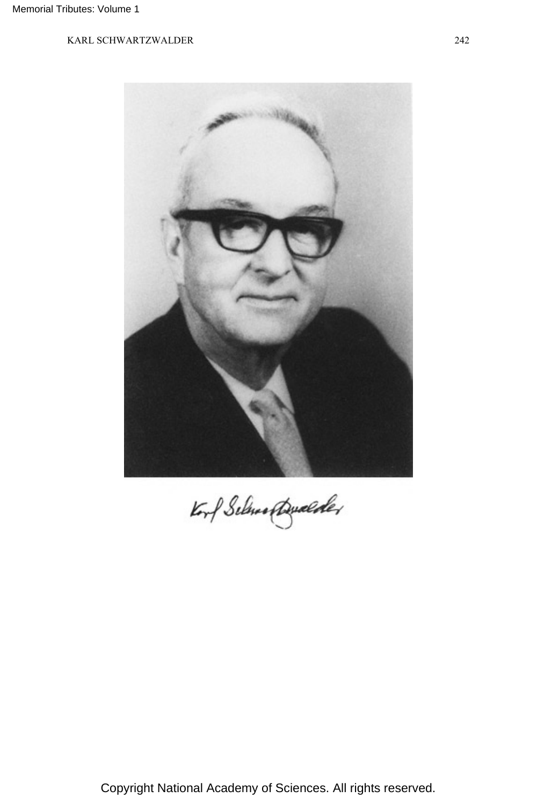## KARL SCHWARTZWALDER 242



Korf Selmon Dualder

Copyright National Academy of Sciences. All rights reserved.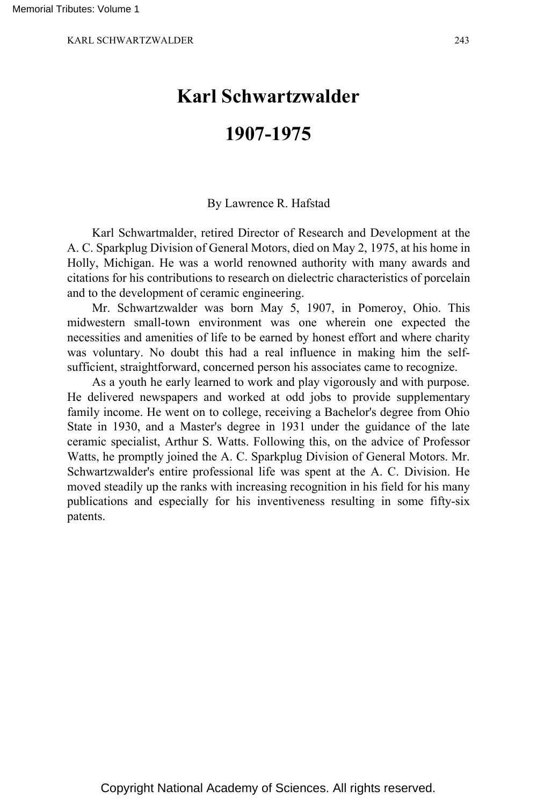# **Karl Schwartzwalder**

# **1907-1975**

## By Lawrence R. Hafstad

Karl Schwartmalder, retired Director of Research and Development at the A. C. Sparkplug Division of General Motors, died on May 2, 1975, at his home in Holly, Michigan. He was a world renowned authority with many awards and citations for his contributions to research on dielectric characteristics of porcelain and to the development of ceramic engineering.

Mr. Schwartzwalder was born May 5, 1907, in Pomeroy, Ohio. This midwestern small-town environment was one wherein one expected the necessities and amenities of life to be earned by honest effort and where charity was voluntary. No doubt this had a real influence in making him the selfsufficient, straightforward, concerned person his associates came to recognize.

As a youth he early learned to work and play vigorously and with purpose. He delivered newspapers and worked at odd jobs to provide supplementary family income. He went on to college, receiving a Bachelor's degree from Ohio State in 1930, and a Master's degree in 1931 under the guidance of the late ceramic specialist, Arthur S. Watts. Following this, on the advice of Professor Watts, he promptly joined the A. C. Sparkplug Division of General Motors. Mr. Schwartzwalder's entire professional life was spent at the A. C. Division. He moved steadily up the ranks with increasing recognition in his field for his many publications and especially for his inventiveness resulting in some fifty-six patents.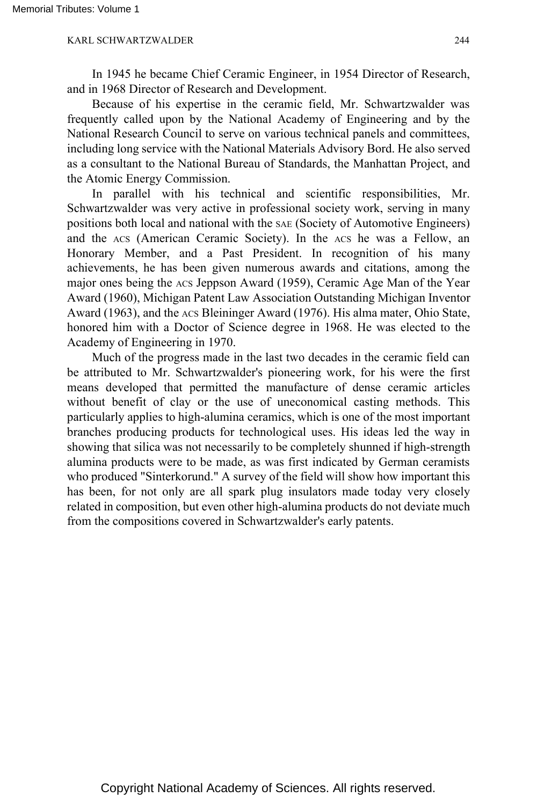#### KARL SCHWARTZWALDER 244

In 1945 he became Chief Ceramic Engineer, in 1954 Director of Research, and in 1968 Director of Research and Development.

Because of his expertise in the ceramic field, Mr. Schwartzwalder was frequently called upon by the National Academy of Engineering and by the National Research Council to serve on various technical panels and committees, including long service with the National Materials Advisory Bord. He also served as a consultant to the National Bureau of Standards, the Manhattan Project, and the Atomic Energy Commission.

In parallel with his technical and scientific responsibilities, Mr. Schwartzwalder was very active in professional society work, serving in many positions both local and national with the SAE (Society of Automotive Engineers) and the ACS (American Ceramic Society). In the ACS he was a Fellow, an Honorary Member, and a Past President. In recognition of his many achievements, he has been given numerous awards and citations, among the major ones being the ACS Jeppson Award (1959), Ceramic Age Man of the Year Award (1960), Michigan Patent Law Association Outstanding Michigan Inventor Award (1963), and the ACS Bleininger Award (1976). His alma mater, Ohio State, honored him with a Doctor of Science degree in 1968. He was elected to the Academy of Engineering in 1970.

Much of the progress made in the last two decades in the ceramic field can be attributed to Mr. Schwartzwalder's pioneering work, for his were the first means developed that permitted the manufacture of dense ceramic articles without benefit of clay or the use of uneconomical casting methods. This particularly applies to high-alumina ceramics, which is one of the most important branches producing products for technological uses. His ideas led the way in showing that silica was not necessarily to be completely shunned if high-strength alumina products were to be made, as was first indicated by German ceramists who produced "Sinterkorund." A survey of the field will show how important this has been, for not only are all spark plug insulators made today very closely related in composition, but even other high-alumina products do not deviate much from the compositions covered in Schwartzwalder's early patents.